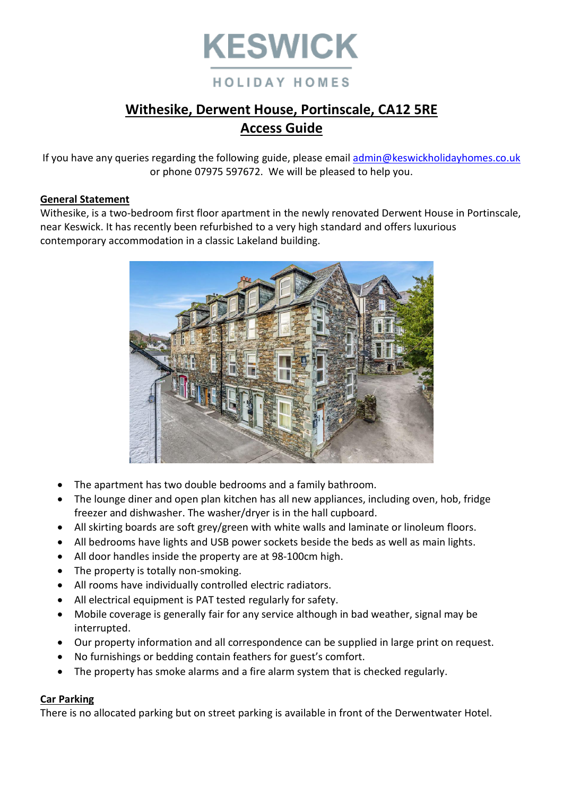

# **Withesike, Derwent House, Portinscale, CA12 5RE**

# **Access Guide**

If you have any queries regarding the following guide, please email [admin@keswickholidayhomes.co.uk](mailto:admin@keswickholidayhomes.co.uk) or phone 07975 597672. We will be pleased to help you.

### **General Statement**

Withesike, is a two-bedroom first floor apartment in the newly renovated Derwent House in Portinscale, near Keswick. It has recently been refurbished to a very high standard and offers luxurious contemporary accommodation in a classic Lakeland building.



- The apartment has two double bedrooms and a family bathroom.
- The lounge diner and open plan kitchen has all new appliances, including oven, hob, fridge freezer and dishwasher. The washer/dryer is in the hall cupboard.
- All skirting boards are soft grey/green with white walls and laminate or linoleum floors.
- All bedrooms have lights and USB power sockets beside the beds as well as main lights.
- All door handles inside the property are at 98-100cm high.
- The property is totally non-smoking.
- All rooms have individually controlled electric radiators.
- All electrical equipment is PAT tested regularly for safety.
- Mobile coverage is generally fair for any service although in bad weather, signal may be interrupted.
- Our property information and all correspondence can be supplied in large print on request.
- No furnishings or bedding contain feathers for guest's comfort.
- The property has smoke alarms and a fire alarm system that is checked regularly.

# **Car Parking**

There is no allocated parking but on street parking is available in front of the Derwentwater Hotel.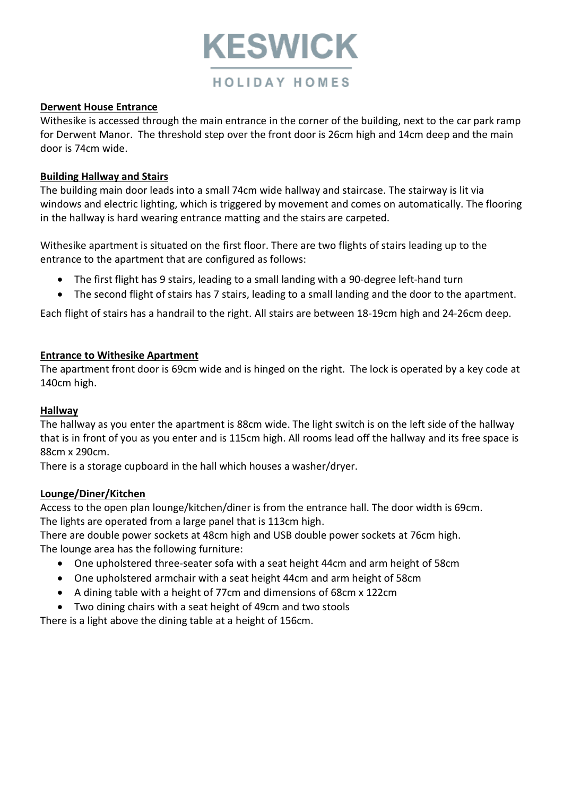

## **Derwent House Entrance**

Withesike is accessed through the main entrance in the corner of the building, next to the car park ramp for Derwent Manor. The threshold step over the front door is 26cm high and 14cm deep and the main door is 74cm wide.

### **Building Hallway and Stairs**

The building main door leads into a small 74cm wide hallway and staircase. The stairway is lit via windows and electric lighting, which is triggered by movement and comes on automatically. The flooring in the hallway is hard wearing entrance matting and the stairs are carpeted.

Withesike apartment is situated on the first floor. There are two flights of stairs leading up to the entrance to the apartment that are configured as follows:

- The first flight has 9 stairs, leading to a small landing with a 90-degree left-hand turn
- The second flight of stairs has 7 stairs, leading to a small landing and the door to the apartment.

Each flight of stairs has a handrail to the right. All stairs are between 18-19cm high and 24-26cm deep.

### **Entrance to Withesike Apartment**

The apartment front door is 69cm wide and is hinged on the right. The lock is operated by a key code at 140cm high.

#### **Hallway**

The hallway as you enter the apartment is 88cm wide. The light switch is on the left side of the hallway that is in front of you as you enter and is 115cm high. All rooms lead off the hallway and its free space is 88cm x 290cm.

There is a storage cupboard in the hall which houses a washer/dryer.

#### **Lounge/Diner/Kitchen**

Access to the open plan lounge/kitchen/diner is from the entrance hall. The door width is 69cm. The lights are operated from a large panel that is 113cm high.

There are double power sockets at 48cm high and USB double power sockets at 76cm high. The lounge area has the following furniture:

- One upholstered three-seater sofa with a seat height 44cm and arm height of 58cm
- One upholstered armchair with a seat height 44cm and arm height of 58cm
- A dining table with a height of 77cm and dimensions of 68cm x 122cm
- Two dining chairs with a seat height of 49cm and two stools

There is a light above the dining table at a height of 156cm.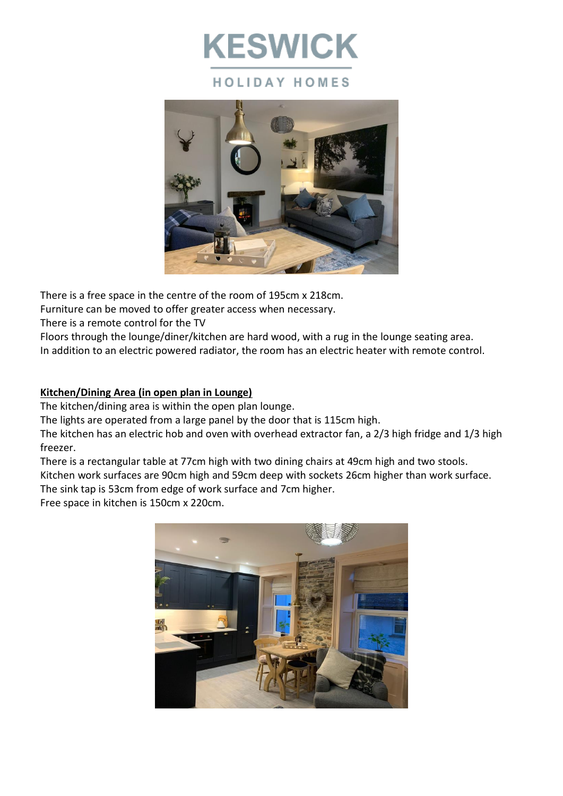



There is a free space in the centre of the room of 195cm x 218cm.

Furniture can be moved to offer greater access when necessary.

There is a remote control for the TV

Floors through the lounge/diner/kitchen are hard wood, with a rug in the lounge seating area.

In addition to an electric powered radiator, the room has an electric heater with remote control.

# **Kitchen/Dining Area (in open plan in Lounge)**

The kitchen/dining area is within the open plan lounge.

The lights are operated from a large panel by the door that is 115cm high.

The kitchen has an electric hob and oven with overhead extractor fan, a 2/3 high fridge and 1/3 high freezer.

There is a rectangular table at 77cm high with two dining chairs at 49cm high and two stools.

Kitchen work surfaces are 90cm high and 59cm deep with sockets 26cm higher than work surface.

The sink tap is 53cm from edge of work surface and 7cm higher.

Free space in kitchen is 150cm x 220cm.

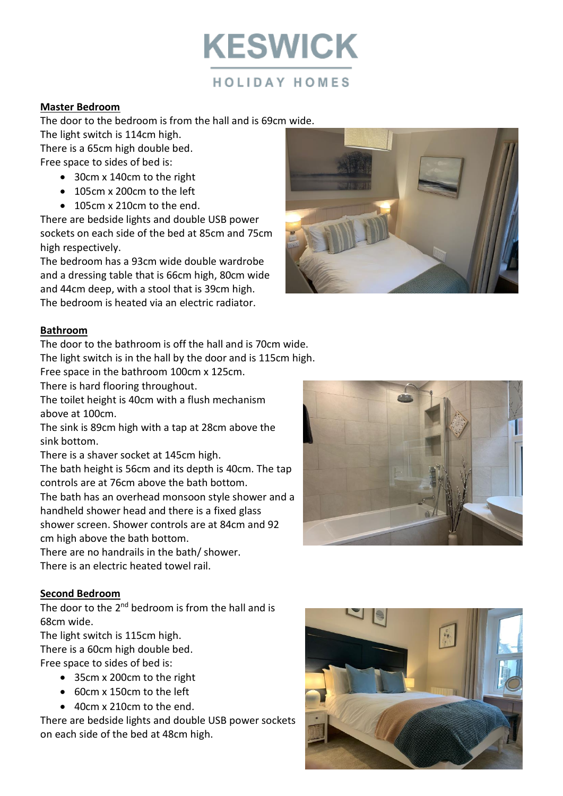**KESWICK** 

### **Master Bedroom**

The door to the bedroom is from the hall and is 69cm wide.

The light switch is 114cm high. There is a 65cm high double bed.

Free space to sides of bed is:

- 30cm x 140cm to the right
- 105cm x 200cm to the left
- 105cm x 210cm to the end.

There are bedside lights and double USB power sockets on each side of the bed at 85cm and 75cm high respectively.

The bedroom has a 93cm wide double wardrobe and a dressing table that is 66cm high, 80cm wide and 44cm deep, with a stool that is 39cm high. The bedroom is heated via an electric radiator.



### **Bathroom**

The door to the bathroom is off the hall and is 70cm wide. The light switch is in the hall by the door and is 115cm high.

Free space in the bathroom 100cm x 125cm.

There is hard flooring throughout.

The toilet height is 40cm with a flush mechanism above at 100cm.

The sink is 89cm high with a tap at 28cm above the sink bottom.

There is a shaver socket at 145cm high.

The bath height is 56cm and its depth is 40cm. The tap controls are at 76cm above the bath bottom.

The bath has an overhead monsoon style shower and a handheld shower head and there is a fixed glass shower screen. Shower controls are at 84cm and 92 cm high above the bath bottom.

There are no handrails in the bath/ shower. There is an electric heated towel rail.

#### **Second Bedroom**

The door to the 2<sup>nd</sup> bedroom is from the hall and is 68cm wide.

The light switch is 115cm high.

There is a 60cm high double bed.

Free space to sides of bed is:

- 35cm x 200cm to the right
- 60cm x 150cm to the left
- 40cm x 210cm to the end.

There are bedside lights and double USB power sockets on each side of the bed at 48cm high.